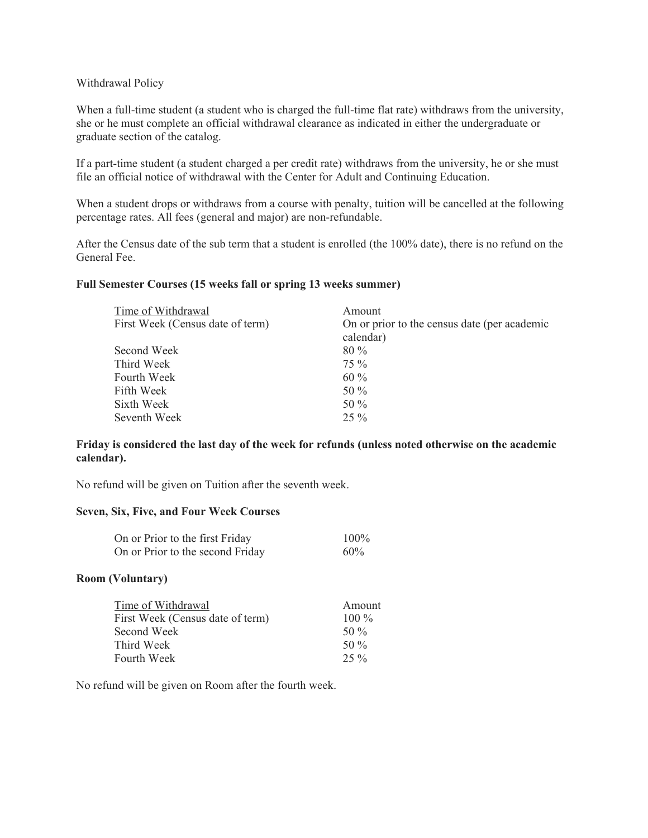## Withdrawal Policy

When a full-time student (a student who is charged the full-time flat rate) withdraws from the university, she or he must complete an official withdrawal clearance as indicated in either the undergraduate or graduate section of the catalog.

If a part-time student (a student charged a per credit rate) withdraws from the university, he or she must file an official notice of withdrawal with the Center for Adult and Continuing Education.

When a student drops or withdraws from a course with penalty, tuition will be cancelled at the following percentage rates. All fees (general and major) are non-refundable.

After the Census date of the sub term that a student is enrolled (the 100% date), there is no refund on the General Fee.

## **Full Semester Courses (15 weeks fall or spring 13 weeks summer)**

| Time of Withdrawal               | Amount                                       |
|----------------------------------|----------------------------------------------|
| First Week (Census date of term) | On or prior to the census date (per academic |
|                                  | calendar)                                    |
| Second Week                      | $80\%$                                       |
| Third Week                       | $75\%$                                       |
| Fourth Week                      | $60\%$                                       |
| Fifth Week                       | 50 $\%$                                      |
| Sixth Week                       | 50 %                                         |
| Seventh Week                     | $25\%$                                       |

## **Friday is considered the last day of the week for refunds (unless noted otherwise on the academic calendar).**

No refund will be given on Tuition after the seventh week.

## **Seven, Six, Five, and Four Week Courses**

| On or Prior to the first Friday  | $100\%$ |
|----------------------------------|---------|
| On or Prior to the second Friday | 60%     |

## **Room (Voluntary)**

| Time of Withdrawal               | Amount  |
|----------------------------------|---------|
| First Week (Census date of term) | $100\%$ |
| Second Week                      | 50 $\%$ |
| Third Week                       | 50 $\%$ |
| Fourth Week                      | $25\%$  |

No refund will be given on Room after the fourth week.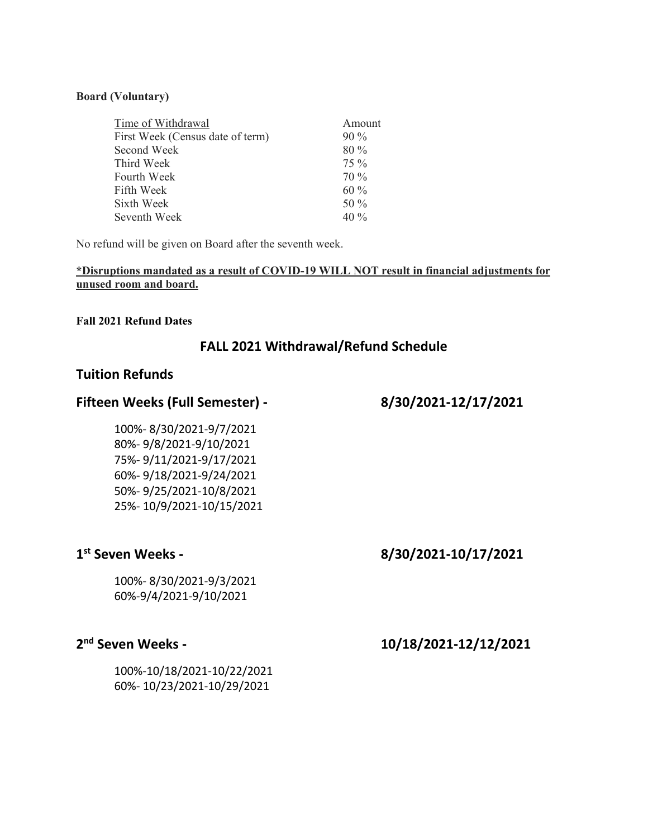## **Board (Voluntary)**

| Time of Withdrawal               | Amount |
|----------------------------------|--------|
| First Week (Census date of term) | $90\%$ |
| Second Week                      | $80\%$ |
| Third Week                       | $75\%$ |
| Fourth Week                      | $70\%$ |
| Fifth Week                       | $60\%$ |
| Sixth Week                       | 50 $%$ |
| Seventh Week                     | $40\%$ |

No refund will be given on Board after the seventh week.

## **\*Disruptions mandated as a result of COVID-19 WILL NOT result in financial adjustments for unused room and board.**

## **Fall 2021 Refund Dates**

# **FALL 2021 Withdrawal/Refund Schedule**

## **Tuition Refunds**

## **Fifteen Weeks (Full Semester) ‐ 8/30/2021‐12/17/2021**

 100%‐ 8/30/2021‐9/7/2021 80%‐ 9/8/2021‐9/10/2021 75%‐ 9/11/2021‐9/17/2021 60%‐ 9/18/2021‐9/24/2021 50%‐ 9/25/2021‐10/8/2021 25%‐ 10/9/2021‐10/15/2021

# **1st Seven Weeks ‐ 8/30/2021‐10/17/2021**

100%‐ 8/30/2021‐9/3/2021 60%‐9/4/2021‐9/10/2021

# **2nd Seven Weeks ‐ 10/18/2021‐12/12/2021**

 100%‐10/18/2021‐10/22/2021 60%‐ 10/23/2021‐10/29/2021